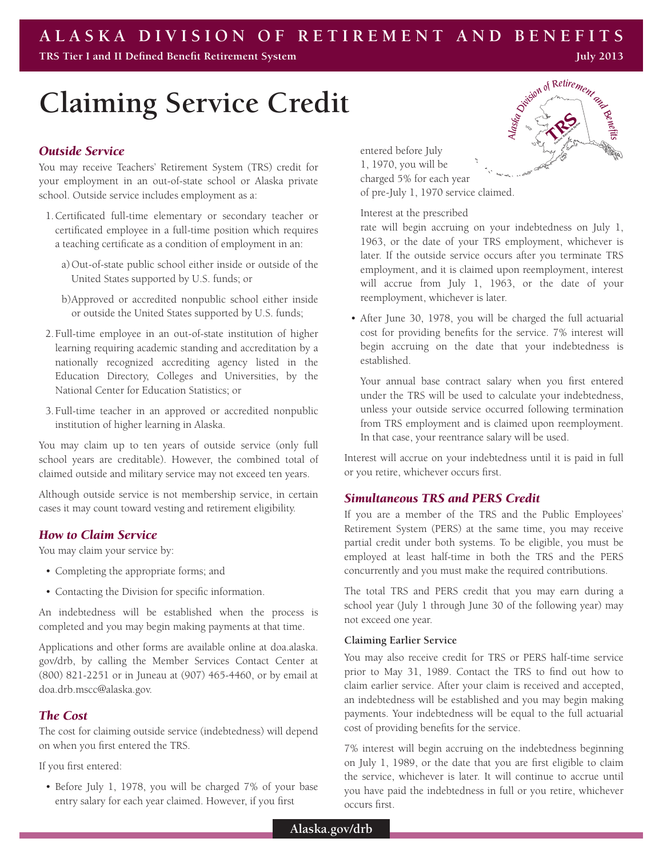**TRS Tier I and II Defined Benefit Retirement System**

# **Claiming Service Credit**

## *Outside Service*

You may receive Teachers' Retirement System (TRS) credit for your employment in an out-of-state school or Alaska private school. Outside service includes employment as a:

- 1.Certificated full-time elementary or secondary teacher or certificated employee in a full-time position which requires a teaching certificate as a condition of employment in an:
	- a)Out-of-state public school either inside or outside of the United States supported by U.S. funds; or
	- b)Approved or accredited nonpublic school either inside or outside the United States supported by U.S. funds;
- 2.Full-time employee in an out-of-state institution of higher learning requiring academic standing and accreditation by a nationally recognized accrediting agency listed in the Education Directory, Colleges and Universities, by the National Center for Education Statistics; or
- 3.Full-time teacher in an approved or accredited nonpublic institution of higher learning in Alaska.

You may claim up to ten years of outside service (only full school years are creditable). However, the combined total of claimed outside and military service may not exceed ten years.

Although outside service is not membership service, in certain cases it may count toward vesting and retirement eligibility.

## *How to Claim Service*

You may claim your service by:

- • Completing the appropriate forms; and
- • Contacting the Division for specific information.

An indebtedness will be established when the process is completed and you may begin making payments at that time.

Applications and other forms are available online at doa.alaska. gov/drb, by calling the Member Services Contact Center at (800) 821-2251 or in Juneau at (907) 465-4460, or by email at doa.drb.mscc@alaska.gov.

## *The Cost*

The cost for claiming outside service (indebtedness) will depend on when you first entered the TRS.

If you first entered:

• Before July 1, 1978, you will be charged 7% of your base entry salary for each year claimed. However, if you first

entered before July 1, 1970, you will be charged 5% for each year of pre-July 1, 1970 service claimed.

Interest at the prescribed

rate will begin accruing on your indebtedness on July 1, 1963, or the date of your TRS employment, whichever is later. If the outside service occurs after you terminate TRS employment, and it is claimed upon reemployment, interest will accrue from July 1, 1963, or the date of your reemployment, whichever is later.

• After June 30, 1978, you will be charged the full actuarial cost for providing benefits for the service. 7% interest will begin accruing on the date that your indebtedness is established.

Your annual base contract salary when you first entered under the TRS will be used to calculate your indebtedness, unless your outside service occurred following termination from TRS employment and is claimed upon reemployment. In that case, your reentrance salary will be used.

Interest will accrue on your indebtedness until it is paid in full or you retire, whichever occurs first.

## *Simultaneous TRS and PERS Credit*

If you are a member of the TRS and the Public Employees' Retirement System (PERS) at the same time, you may receive partial credit under both systems. To be eligible, you must be employed at least half-time in both the TRS and the PERS concurrently and you must make the required contributions.

The total TRS and PERS credit that you may earn during a school year (July 1 through June 30 of the following year) may not exceed one year.

### **Claiming Earlier Service**

You may also receive credit for TRS or PERS half-time service prior to May 31, 1989. Contact the TRS to find out how to claim earlier service. After your claim is received and accepted, an indebtedness will be established and you may begin making payments. Your indebtedness will be equal to the full actuarial cost of providing benefits for the service.

7% interest will begin accruing on the indebtedness beginning on July 1, 1989, or the date that you are first eligible to claim the service, whichever is later. It will continue to accrue until you have paid the indebtedness in full or you retire, whichever occurs first.



**July 2013**